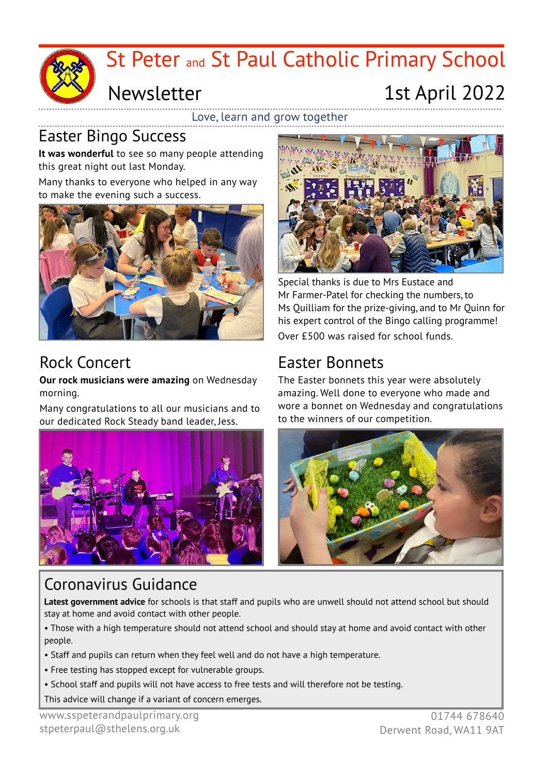

# St Peter and St Paul Catholic Primary School

### Newsletter

## 1st April 2022

Love, learn and grow together

#### Easter Bingo Success

**It was wonderful** to see so many people attending this great night out last Monday.

Many thanks to everyone who helped in any way to make the evening such a success.



#### Rock Concert

**Our rock musicians were amazing** on Wednesday morning.

Many congratulations to all our musicians and to our dedicated Rock Steady band leader, Jess.





Special thanks is due to Mrs Eustace and Mr Farmer-Patel for checking the numbers, to Ms Quilliam for the prize-giving, and to Mr Quinn for his expert control of the Bingo calling programme! Over £500 was raised for school funds.

#### Easter Bonnets

The Easter bonnets this year were absolutely amazing. Well done to everyone who made and wore a bonnet on Wednesday and congratulations to the winners of our competition.



#### Coronavirus Guidance

**Latest government advice** for schools is that staff and pupils who are unwell should not attend school but should stay at home and avoid contact with other people.

• Those with a high temperature should not attend school and should stay at home and avoid contact with other people.

- Staff and pupils can return when they feel well and do not have a high temperature.
- Free testing has stopped except for vulnerable groups.
- School staff and pupils will not have access to free tests and will therefore not be testing.
- This advice will change if a variant of concern emerges.